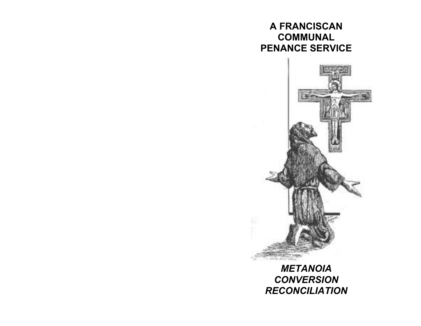# **A FRANCISCAN COMMUNAL PENANCE SERVICE**



*METANOIA CONVERSION RECONCILIATION*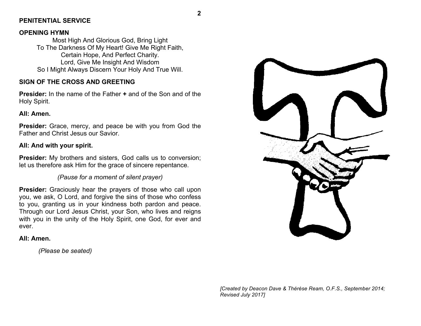### **PENITENTIAL SERVICE**

### **OPENING HYMN**

Most High And Glorious God, Bring Light To The Darkness Of My Heart! Give Me Right Faith, Certain Hope, And Perfect Charity. Lord, Give Me Insight And Wisdom So I Might Always Discern Your Holy And True Will.

### **SIGN OF THE CROSS AND GREETING**

**Presider:** In the name of the Father **+** and of the Son and of the Holy Spirit.

### **All: Amen.**

**Presider:** Grace, mercy, and peace be with you from God the Father and Christ Jesus our Savior.

### **All: And with your spirit.**

**Presider:** My brothers and sisters, God calls us to conversion; let us therefore ask Him for the grace of sincere repentance.

### *(Pause for a moment of silent prayer)*

**Presider:** Graciously hear the prayers of those who call upon you, we ask, O Lord, and forgive the sins of those who confess to you, granting us in your kindness both pardon and peace. Through our Lord Jesus Christ, your Son, who lives and reigns with you in the unity of the Holy Spirit, one God, for ever and ever.

#### **All: Amen.**

*(Please be seated)*



**2**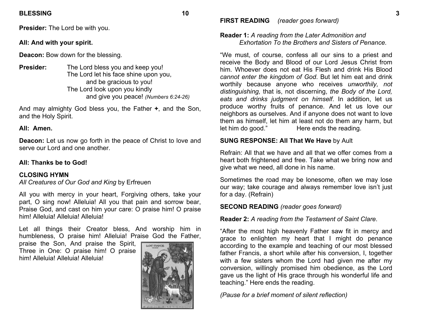### **BLESSING 10**

**Presider:** The Lord be with you.

### **All: And with your spirit.**

**Deacon:** Bow down for the blessing.

**Presider:** The Lord bless you and keep you! The Lord let his face shine upon you, and be gracious to you! The Lord look upon you kindly and give you peace! *(Numbers 6:24-26)*

And may almighty God bless you, the Father **+**, and the Son, and the Holy Spirit.

### **All: Amen.**

**Deacon:** Let us now go forth in the peace of Christ to love and serve our Lord and one another.

### **All: Thanks be to God!**

### **CLOSING HYMN**

*All Creatures of Our God and King* by Erfreuen

All you with mercy in your heart, Forgiving others, take your part, O sing now! Alleluia! All you that pain and sorrow bear, Praise God, and cast on him your care: O praise him! O praise him! Alleluia! Alleluia! Alleluia!

Let all things their Creator bless, And worship him in humbleness, O praise him! Alleluia! Praise God the Father,

praise the Son, And praise the Spirit, Three in One: O praise him! O praise him! Alleluia! Alleluia! Alleluia!



**FIRST READING** *(reader goes forward)*

### **Reader 1:** *A reading from the Later Admonition and Exhortation To the Brothers and Sisters of Penance.*

"We must, of course, confess all our sins to a priest and receive the Body and Blood of our Lord Jesus Christ from him. Whoever does not eat His Flesh and drink His Blood *cannot enter the kingdom of God*. But let him eat and drink worthily because anyone who receives *unworthily, not distinguishing,* that is, not discerning, *the Body of the Lord, eats and drinks judgment on himself*. In addition, let us produce worthy fruits of penance. And let us love our neighbors as ourselves. And if anyone does not want to love them as himself, let him at least not do them any harm, but let him do good." Here ends the reading.

### **SUNG RESPONSE: All That We Have** by Ault

Refrain: All that we have and all that we offer comes from a heart both frightened and free. Take what we bring now and give what we need, all done in his name.

Sometimes the road may be lonesome, often we may lose our way; take courage and always remember love isn't just for a day. (Refrain)

### **SECOND READING** *(reader goes forward)*

### **Reader 2:** *A reading from the Testament of Saint Clare*.

"After the most high heavenly Father saw fit in mercy and grace to enlighten my heart that I might do penance according to the example and teaching of our most blessed father Francis, a short while after his conversion, I, together with a few sisters whom the Lord had given me after my conversion, willingly promised him obedience, as the Lord gave us the light of His grace through his wonderful life and teaching." Here ends the reading.

*(Pause for a brief moment of silent reflection)*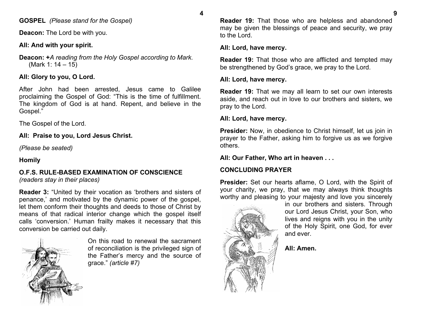**GOSPEL** *(Please stand for the Gospel)* 

**Deacon:** The Lord be with you.

# **All: And with your spirit.**

**Deacon: +***A reading from the Holy Gospel according to Mark.*  (Mark 1: 14 – 15)

# **All: Glory to you, O Lord.**

After John had been arrested, Jesus came to Galilee proclaiming the Gospel of God: "This is the time of fulfillment. The kingdom of God is at hand. Repent, and believe in the Gospel."

The Gospel of the Lord.

**All: Praise to you, Lord Jesus Christ.**

*(Please be seated)*

# **Homily**

### **O.F.S. RULE-BASED EXAMINATION OF CONSCIENCE**  *(readers stay in their places)*

**Reader 3:** "United by their vocation as 'brothers and sisters of penance,' and motivated by the dynamic power of the gospel, let them conform their thoughts and deeds to those of Christ by means of that radical interior change which the gospel itself calls 'conversion.' Human frailty makes it necessary that this conversion be carried out daily.



On this road to renewal the sacrament of reconciliation is the privileged sign of the Father's mercy and the source of grace." *(article #7)*

**Reader 19:** That those who are helpless and abandoned may be given the blessings of peace and security, we pray to the Lord.

### **All: Lord, have mercy.**

**Reader 19:** That those who are afflicted and tempted may be strengthened by God's grace, we pray to the Lord.

### **All: Lord, have mercy.**

**Reader 19:** That we may all learn to set our own interests aside, and reach out in love to our brothers and sisters, we pray to the Lord.

### **All: Lord, have mercy.**

**Presider:** Now, in obedience to Christ himself, let us join in prayer to the Father, asking him to forgive us as we forgive others.

### **All: Our Father, Who art in heaven . . .**

# **CONCLUDING PRAYER**

**Presider:** Set our hearts aflame, O Lord, with the Spirit of your charity, we pray, that we may always think thoughts worthy and pleasing to your majesty and love you sincerely



in our brothers and sisters. Through our Lord Jesus Christ, your Son, who lives and reigns with you in the unity of the Holy Spirit, one God, for ever and ever.

**All: Amen.**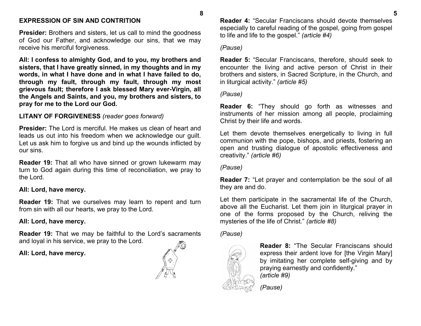### **EXPRESSION OF SIN AND CONTRITION**

**Presider:** Brothers and sisters, let us call to mind the goodness of God our Father, and acknowledge our sins, that we may receive his merciful forgiveness.

**All: I confess to almighty God, and to you, my brothers and sisters, that I have greatly sinned, in my thoughts and in my words, in what I have done and in what I have failed to do, through my fault, through my fault, through my most grievous fault; therefore I ask blessed Mary ever-Virgin, all the Angels and Saints, and you, my brothers and sisters, to pray for me to the Lord our God.**

### **LITANY OF FORGIVENESS** *(reader goes forward)*

**Presider:** The Lord is merciful. He makes us clean of heart and leads us out into his freedom when we acknowledge our guilt. Let us ask him to forgive us and bind up the wounds inflicted by our sins.

**Reader 19:** That all who have sinned or grown lukewarm may turn to God again during this time of reconciliation, we pray to the Lord.

#### **All: Lord, have mercy.**

**Reader 19:** That we ourselves may learn to repent and turn from sin with all our hearts, we pray to the Lord.

#### **All: Lord, have mercy.**

**Reader 19:** That we may be faithful to the Lord's sacraments and loyal in his service, we pray to the Lord.

#### **All: Lord, have mercy.**



**Reader 4:** "Secular Franciscans should devote themselves especially to careful reading of the gospel, going from gospel to life and life to the gospel." *(article #4)*

#### *(Pause)*

**8**

**Reader 5:** "Secular Franciscans, therefore, should seek to encounter the living and active person of Christ in their brothers and sisters, in Sacred Scripture, in the Church, and in liturgical activity." *(article #5)*

#### *(Pause)*

**Reader 6:** "They should go forth as witnesses and instruments of her mission among all people, proclaiming Christ by their life and words.

Let them devote themselves energetically to living in full communion with the pope, bishops, and priests, fostering an open and trusting dialogue of apostolic effectiveness and creativity." *(article #6)*

*(Pause)*

**Reader 7:** "Let prayer and contemplation be the soul of all they are and do.

Let them participate in the sacramental life of the Church, above all the Eucharist. Let them join in liturgical prayer in one of the forms proposed by the Church, reliving the mysteries of the life of Christ." *(article #8)*

*(Pause)*



**Reader 8:** "The Secular Franciscans should express their ardent love for [the Virgin Mary] by imitating her complete self-giving and by praying earnestly and confidently." *(article #9)*

*(Pause)*